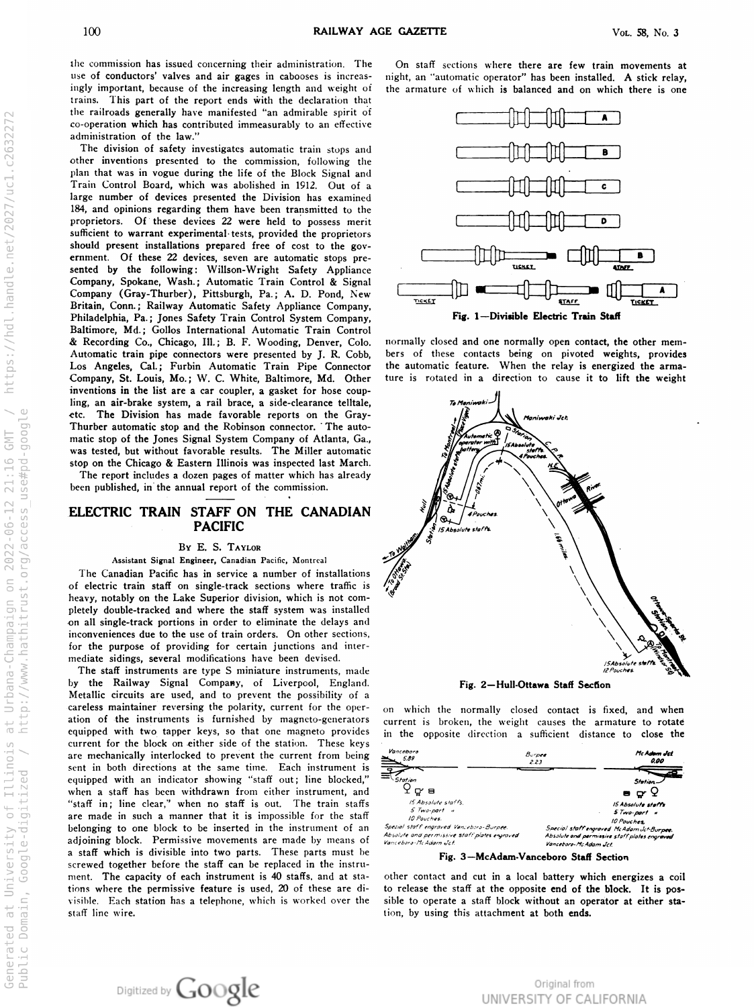the commission has issued concerning their administration. The ingly important, because of the increasing length and weight of of conductors' valves and air gages in cabooses is increas-<br>in high, trains. This part of the report ends with the declaration that the railroads generally have manifested " an admirable spirit of o-operation which has contributed immeasurably to an effectiv administration of the law."

 The division of safety investigates automatic train stops and other inventions presented to the commission, following the plan that was in vogue during the life of the Block Signal and I rain Control Board, which was abolished in 1912. Out of a large number of devices presented the Division has examined 184, and opinions regarding them have been transmitted to the proprietors. Of these devices 22 were held to possess merit sufficient to warrant experimental tests, provided the proprietor should present installations prepared free of cost to the gov ernment. Of these 22 devices, seven are automatic stops pre sented by the following: Willson-Wright Safety Appliance Company, Spokane, Wash.; Automatic Train Control & Signa Company (Gray-Thurber), Pittsburgh, Pa.; A. D. Pond, New Britain, Conn.; Railway Automatic Safety Appliance Company, Philadelphia, Pa.; Jones Safety Train Control System Company, Baltimore, Md.; Gollos International Automatic Train Contro & Recording Co., Chicago, III.; B. F. Wooding, Denver, Colo. Automatic train pipe connectors were presented by J. R. Cobb , Los Angeles, Cal.; Furbin Automatic Train Pipe Connector the automatic feature. Company, St. Louis, Mo.; W. C. White, Baltimore, Md. Other ture inventions in the list are a car coupler, a gasket for hose coup ling, an air-brake system, a rail brace, a side-clearance telltale, etc. The Division has made favorable reports on the Gray I hurber automatic stop and the Robinson connector. The automatic stop of the Jones Signal System Company of Atlanta, Ga., was tested, but without favorable results. The Miller automatic  $\int_{\mathbb{R}} \int_{\mathbb{R}} e^{i t s} f(x) dx$ stop on the Chicago & Eastern Illinois was inspected last March .

The report includes <sup>a</sup> dozen pages of matter which has already been published, in the annual report of the commission.

## ELECTRIC TRAIN STAFF ON THE CANADIAN  $\mathscr{H}_{\infty}$

## By E. S. TAYLOR

## Assistant Signal Engineer, Canadian Pacific, Montrea

The Canadian Pacific has in service a number of installation of electric train staff on single -track sections where traffic is heavy, notably on the Lake Superior division, which is not completely double -tracked and where the staff system was installed n all single-track portions in order to eliminate the delays and inconveniences due to the use of train orders. On other sections, for the purpose of providing for certain junctions and inter mediate sidings, several modifications have been devised.

**The staff instruments are type S miniature instruments, made** y the Railway Signal Company, of Liverpool, England. Metallic circuits are used, and to prevent the possibility of a careless maintainer reversing the polarity, current for the oper ation of the instruments is furnished by magneto -generators equipped with two tapper keys, so that one magneto provides current for the block on either side of the station. These key are mechanically interlocked to prevent the current from being sent in both directions at the same time . Each instrument is equipped with an indicator showing "staff out; line blocked," when a staft has been withdrawn from either instrument, and "staff in; line clear," when no staff is out. The train staff are made in such <sup>a</sup> manner that it is impossible for the staff belonging to one block to be inserted in the instrument of an adjoining block. Permissive movements are made by means of a staff which is divisible into two parts. These parts must be screwed together before the staff can be replaced in the instru ment. The capacity of each instrument is 40 staffs, and at sta tions where the permissive feature is used, 20 of these are divisible. Eac<mark>h station</mark> has a telephone, which is worked over the staff line wire.

Digitized by Google

The Un staff sections where there are few train movements at n automatic operator has been installed. A stick relay, the armature of which is balanced and on which there is one



normally closed and one normally open contact, the other members of these contacts being on pivoted weights, provides When the relay is energized the arma is rotated in a direction to cause it to lift the weight



Fig. 2—Hull-Ott<mark>awa Staff Secti</mark>on

on which the normally closed contact is fixed, and when current is broken, the weight causes the armature to rotate in the opposite direction <sup>a</sup> sufficient distance to close the



other contact and cut in a local battery which energizes <sup>a</sup> coil to release the staff at the opposite end of the block. It is pos sible to operate a staff block without an operator at either station, by using this attachment at both ends.